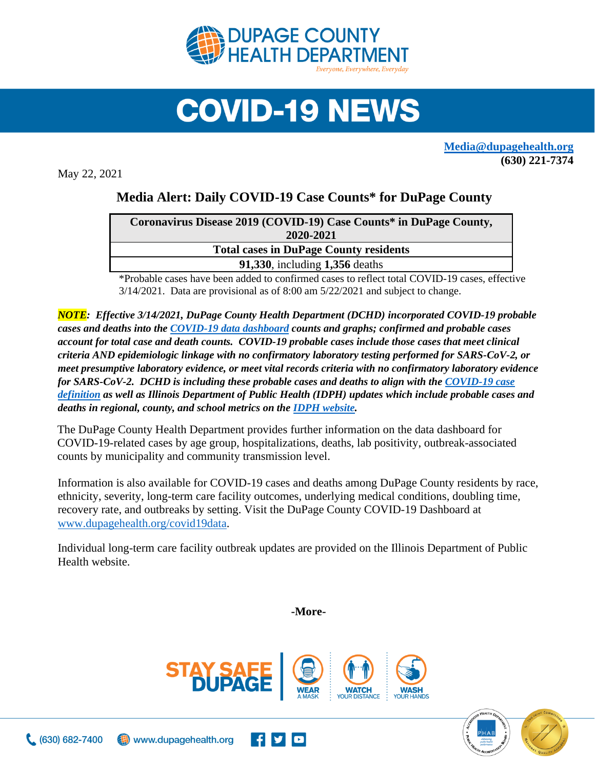

## **COVID-19 NEWS**

**[Media@dupagehealth.org](mailto:Media@dupagehealth.org) (630) 221-7374**

May 22, 2021

## **Media Alert: Daily COVID-19 Case Counts\* for DuPage County**

| Coronavirus Disease 2019 (COVID-19) Case Counts* in DuPage County, |
|--------------------------------------------------------------------|
| 2020-2021                                                          |
| <b>Total cases in DuPage County residents</b>                      |
| <b>91,330, including 1,356 deaths</b>                              |
|                                                                    |

\*Probable cases have been added to confirmed cases to reflect total COVID-19 cases, effective 3/14/2021. Data are provisional as of 8:00 am 5/22/2021 and subject to change.

*NOTE: Effective 3/14/2021, DuPage County Health Department (DCHD) incorporated COVID-19 probable cases and deaths into the [COVID-19 data dashboard](http://www.dupagehealth.org/covid19data) counts and graphs; confirmed and probable cases account for total case and death counts. COVID-19 probable cases include those cases that meet clinical criteria AND epidemiologic linkage with no confirmatory laboratory testing performed for SARS-CoV-2, or meet presumptive laboratory evidence, or meet vital records criteria with no confirmatory laboratory evidence for SARS-CoV-2. DCHD is including these probable cases and deaths to align with the [COVID-19 case](https://wwwn.cdc.gov/nndss/conditions/coronavirus-disease-2019-covid-19/case-definition/2020/08/05/)  [definition](https://wwwn.cdc.gov/nndss/conditions/coronavirus-disease-2019-covid-19/case-definition/2020/08/05/) as well as Illinois Department of Public Health (IDPH) updates which include probable cases and deaths in regional, county, and school metrics on th[e IDPH website.](http://dph.illinois.gov/covid19/covid19-statistics)*

The DuPage County Health Department provides further information on the data dashboard for COVID-19-related cases by age group, hospitalizations, deaths, lab positivity, outbreak-associated counts by municipality and community transmission level.

Information is also available for COVID-19 cases and deaths among DuPage County residents by race, ethnicity, severity, long-term care facility outcomes, underlying medical conditions, doubling time, recovery rate, and outbreaks by setting. Visit the DuPage County COVID-19 Dashboard at [www.dupagehealth.org/covid19data.](http://www.dupagehealth.org/covid19data)

Individual long-term care facility outbreak updates are provided on the Illinois Department of Public Health website.

**-More-**